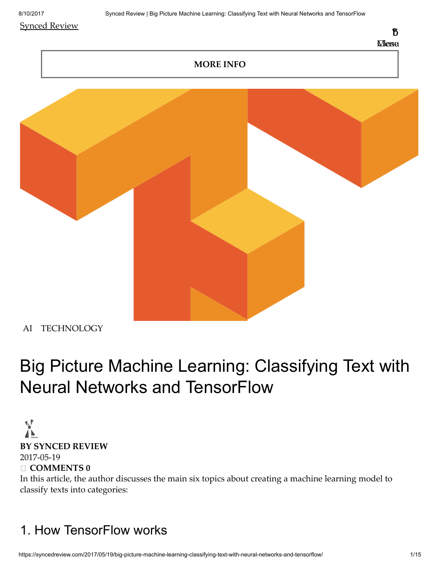#### Synced [Review](https://syncedreview.com/)



#### MORE INFO



[AI](https://syncedreview.com/category/ai/) [TECHNOLOGY](https://syncedreview.com/category/technology/)

# Big Picture Machine Learning: Classifying Text with Neural Networks and TensorFlow

#### $\frac{1}{\sqrt{2}}$ BY [SYNCED](https://syncedreview.com/author/syncedreview/) REVIEW [2017-05-19](https://syncedreview.com/2017/05/19/big-picture-machine-learning-classifying-text-with-neural-networks-and-tensorflow/)

□ COMMENTS 0

In this article, the author discusses the main six topics about creating a machine learning model to classify texts into categories:

## 1. How TensorFlow works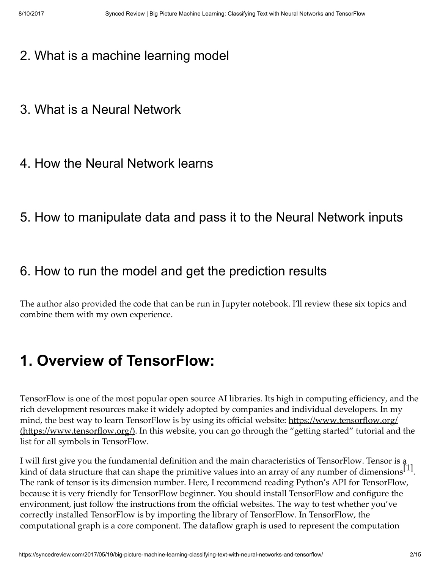- 2. What is a machine learning model
- 3. What is a Neural Network
- 4. How the Neural Network learns
- 5. How to manipulate data and pass it to the Neural Network inputs

### 6. How to run the model and get the prediction results

The author also provided the code that can be run in Jupyter notebook. I'll review these six topics and combine them with my own experience.

# 1. Overview of TensorFlow:

TensorFlow is one of the most popular open source AI libraries. Its high in computing efficiency, and the rich development resources make it widely adopted by companies and individual developers. In my mind, the best way to learn TensorFlow is by using its official website: https://www.tensorflow.org/ (https://www.tensorflow.org/). In this website, you can go through the "getting started" tutorial and the list for all symbols in TensorFlow.

I will first give you the fundamental definition and the main characteristics of TensorFlow. Tensor is a kind of data structure that can shape the primitive values into an array of any number of dimensions  $\left[1\right]$ . The rank of tensor is its dimension number. Here, I recommend reading Python's API for TensorFlow, because it is very friendly for TensorFlow beginner. You should install TensorFlow and configure the environment, just follow the instructions from the official websites. The way to test whether you've correctly installed TensorFlow is by importing the library of TensorFlow. In TensorFlow, the computational graph is a core component. The dataflow graph is used to represent the computation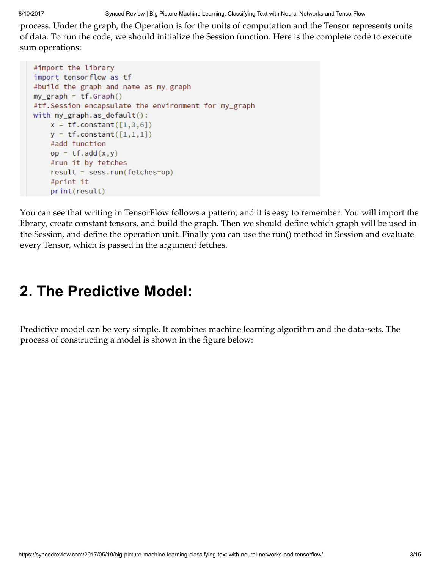8/10/2017 Synced Review | Big Picture Machine Learning: Classifying Text with Neural Networks and TensorFlow

process. Under the graph, the Operation is for the units of computation and the Tensor represents units of data. To run the code, we should initialize the Session function. Here is the complete code to execute sum operations:

```
#import the library
import tensorflow as tf
#build the graph and name as my_graph
my\_graph = tf.Graph()#tf.Session encapsulate the environment for my_graph
with my_graph.as_default():
   x = tf constant([1,3,6])y = tf constant([1,1,1])#add function
   op = tf.add(x,y)#run it by fetches
    result = sess.run(fetches=op)
    #print it
   print(result)
```
You can see that writing in TensorFlow follows a pattern, and it is easy to remember. You will import the library, create constant tensors, and build the graph. Then we should define which graph will be used in the Session, and define the operation unit. Finally you can use the run() method in Session and evaluate every Tensor, which is passed in the argument fetches.

# 2. The Predictive Model:

Predictive model can be very simple. It combines machine learning algorithm and the data-sets. The process of constructing a model is shown in the figure below: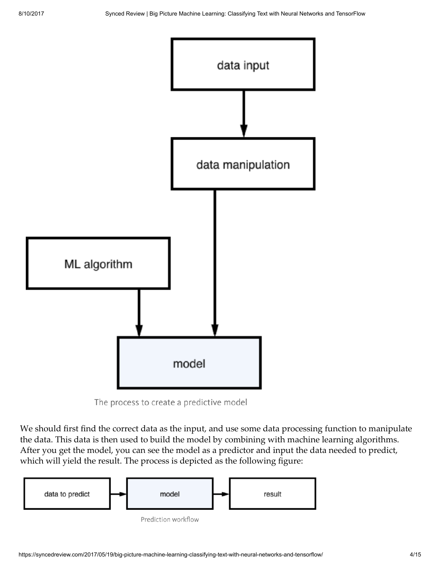



We should first find the correct data as the input, and use some data processing function to manipulate the data. This data is then used to build the model by combining with machine learning algorithms. After you get the model, you can see the model as a predictor and input the data needed to predict, which will yield the result. The process is depicted as the following figure:

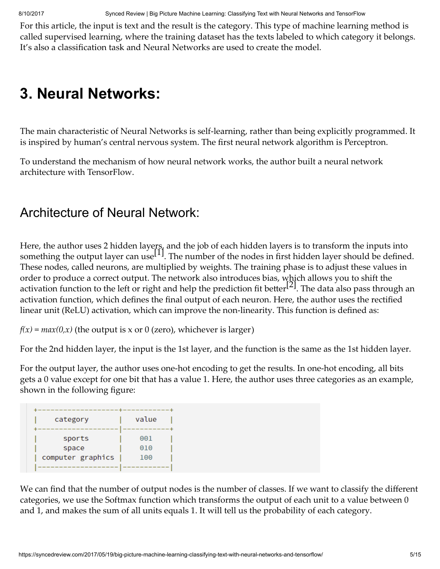8/10/2017 Synced Review | Big Picture Machine Learning: Classifying Text with Neural Networks and TensorFlow

For this article, the input is text and the result is the category. This type of machine learning method is called supervised learning, where the training dataset has the texts labeled to which category it belongs. It's also a classification task and Neural Networks are used to create the model.

## 3. Neural Networks:

The main characteristic of Neural Networks is self-learning, rather than being explicitly programmed. It is inspired by human's central nervous system. The first neural network algorithm is Perceptron.

To understand the mechanism of how neural network works, the author built a neural network architecture with TensorFlow.

### Architecture of Neural Network:

Here, the author uses 2 hidden layers, and the job of each hidden layers is to transform the inputs into something the output layer can use  $\left[1\right]$ . The number of the nodes in first hidden layer should be defined. These nodes, called neurons, are multiplied by weights. The training phase is to adjust these values in order to produce a correct output. The network also introduces bias, which allows you to shift the activation function to the left or right and help the prediction fit better  $^{[2]}$ . The data also pass through an activation function, which defines the final output of each neuron. Here, the author uses the rectified linear unit (ReLU) activation, which can improve the non-linearity. This function is defined as:

 $f(x) = max(0, x)$  (the output is x or 0 (zero), whichever is larger)

For the 2nd hidden layer, the input is the 1st layer, and the function is the same as the 1st hidden layer.

For the output layer, the author uses one-hot encoding to get the results. In one-hot encoding, all bits gets a 0 value except for one bit that has a value 1. Here, the author uses three categories as an example, shown in the following figure:

| category          | value |
|-------------------|-------|
| sports            | 001   |
| space             | 010   |
| computer graphics | 100   |
|                   |       |

We can find that the number of output nodes is the number of classes. If we want to classify the different categories, we use the Softmax function which transforms the output of each unit to a value between 0 and 1, and makes the sum of all units equals 1. It will tell us the probability of each category.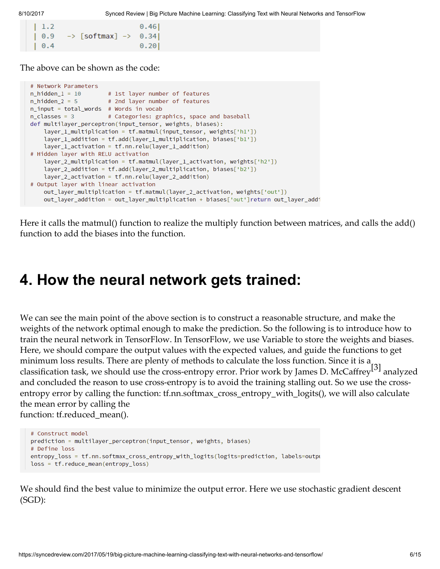| $\vert$ 1.2 |                                             | 0.46 |
|-------------|---------------------------------------------|------|
| $\big  0.9$ | $\rightarrow$ [softmax] $\rightarrow$ 0.34] |      |
| $\vert 0.4$ |                                             | 0.20 |

The above can be shown as the code:

```
# Network Parameters
n\_hidden_1 = 10 # 1st layer number of features<br>n\_hidden_2 = 5 # 2nd layer number of features
n_input = total_words # Words in vocab
n_classes = 3 # Categories: graphics, space and baseball
def multilayer_perceptron(input_tensor, weights, biases):
    layer_1_multiplication = tf.matmul(input_tensor, weights['h1'])
    layer_1 addition = tf.add(layer_1_multiplication, biases['b1'])
    layer_1_activation = tf.nn.relu(layer_1_addition)
# Hidden laver with RELU activation
    layer_2_multiplication = tf.matmul(layer_1_activation, weights['h2'])
    layer_2_addition = tf.add(layer_2_multiplication, biases['b2'])
    layer_2_activation = tf.nn.relu(layer_2_addition)
# Output layer with linear activation
    out_layer_multiplication = tf.matmul(layer_2_activation, weights['out'])
    out_layer_addition = out_layer_multiplication + biases['out']return out_layer_addi
```
Here it calls the matmul() function to realize the multiply function between matrices, and calls the add() function to add the biases into the function.

### 4. How the neural network gets trained:

We can see the main point of the above section is to construct a reasonable structure, and make the weights of the network optimal enough to make the prediction. So the following is to introduce how to train the neural network in TensorFlow. In TensorFlow, we use Variable to store the weights and biases. Here, we should compare the output values with the expected values, and guide the functions to get minimum loss results. There are plenty of methods to calculate the loss function. Since it is a classification task, we should use the cross-entropy error. Prior work by James D. McCaffrey<sup>[3]</sup> analyzed and concluded the reason to use cross-entropy is to avoid the training stalling out. So we use the crossentropy error by calling the function: tf.nn.softmax\_cross\_entropy\_with\_logits(), we will also calculate the mean error by calling the function: tf.reduced mean().

```
# Construct model
prediction = multilayer_perceptron(input_tensor, weights, biases)
# Define loss
entropy_loss = tf.nn.softmax_cross_entropy_with_logits(logits=prediction, labels=outpu
loss = tf.reduce_mean(entropy_loss)
```
We should find the best value to minimize the output error. Here we use stochastic gradient descent (SGD):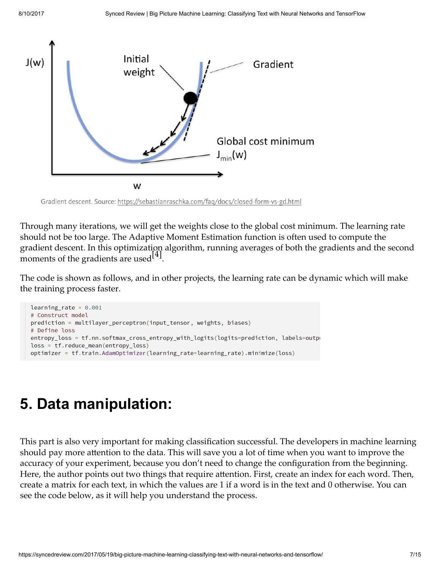

Gradient descent. Source: https://sebastianraschka.com/faq/docs/closed-form-vs-gd.html

Through many iterations, we will get the weights close to the global cost minimum. The learning rate should not be too large. The Adaptive Moment Estimation function is often used to compute the gradient descent. In this optimization algorithm, running averages of both the gradients and the second moments of the gradients are used  $[4]$ .

The code is shown as follows, and in other projects, the learning rate can be dynamic which will make the training process faster.

```
learning_rate = 0.001# Construct model
prediction = multilayer_perceptron(input_tensor, weights, biases)
# Define loss
entropy_loss = tf.nn.softmax_cross_entropy_with_logits(logits=prediction, labels=outpu
loss = tf.readuce_mean(entropy_loss)optimizer = tf.train.AdamOptimizer(learning_rate=learning_rate).minimize(loss)
```
# 5. Data manipulation:

This part is also very important for making classification successful. The developers in machine learning should pay more attention to the data. This will save you a lot of time when you want to improve the accuracy of your experiment, because you don't need to change the configuration from the beginning. Here, the author points out two things that require attention. First, create an index for each word. Then, create a matrix for each text, in which the values are 1 if a word is in the text and 0 otherwise. You can see the code below, as it will help you understand the process.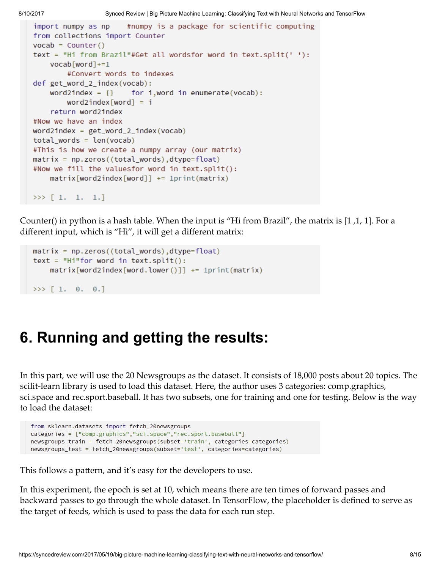```
import numpy as np
                       #numpy is a package for scientific computing
from collections import Counter
vocab = Counter()text = "Hi from Brazil"#Get all wordsfor word in text.split(' '):
    vocab[word] +=1
        #Convert words to indexes
def get_word_2_index(vocab):
    word2index = \{ \}for i, word in enumerate (vocab):
        word2index[word] = ireturn word2index
#Now we have an index
word2index = get word 2 index(vocab)
total_words = len(vocab)#This is how we create a numpy array (our matrix)
matrix = np{\cdot}zeros((total{\cdot}words), dtype{=float})#Now we fill the valuesfor word in text.split():
    matrix[word2index[word]] += 1print(maxrix)>> [1. 1. 1.]
```
Counter() in python is a hash table. When the input is "Hi from Brazil", the matrix is [1 ,1, 1]. For a different input, which is "Hi", it will get a different matrix:

```
matrix = np{\text .}zeros((total{\text .}words), dtype{=float})text = "Hi" for word in text.split():matrix[word2index[word2, lower()]] += 1print(matrix)>> [ 1. 0. 0.]
```
# 6. Running and getting the results:

In this part, we will use the 20 Newsgroups as the dataset. It consists of 18,000 posts about 20 topics. The scilit-learn library is used to load this dataset. Here, the author uses 3 categories: comp.graphics, sci.space and rec.sport.baseball. It has two subsets, one for training and one for testing. Below is the way to load the dataset:

```
from sklearn.datasets import fetch_20newsgroups
categories = ["comp.graphics","sci.space","rec.sport.baseball"]
newsgroups_train = fetch_20newsgroups(subset='train', categories=categories)
newsgroups_test = fetch_20newsgroups(subset='test', categories=categories)
```
This follows a pattern, and it's easy for the developers to use.

In this experiment, the epoch is set at 10, which means there are ten times of forward passes and backward passes to go through the whole dataset. In TensorFlow, the placeholder is defined to serve as the target of feeds, which is used to pass the data for each run step.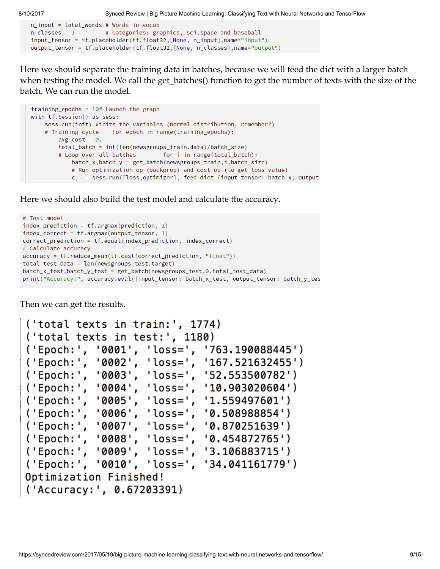```
n_input = total_words # Words in vocab
n_classes = 3 # Categories: graphics, sci.space and baseball
input_tensor = tf.placeholder(tf.float32,[None, n_input],name="input")
output_tensor = tf.placeholder(tf.float32, [None, n_classes], name="output")
```
Here we should separate the training data in batches, because we will feed the dict with a larger batch when testing the model. We call the get\_batches() function to get the number of texts with the size of the batch. We can run the model.

```
training epochs = 10# Launch the graph
with tf. Session() as sess:
   sess.run(init) #inits the variables (normal distribution, remember?)
    # Training cycle for epoch in range(training_epochs):
       avg\_cost = 0.total_batch = int(len(newsgroups_train.data)/batch_size)
        # Loop over all batches for i in range(total_batch):
            batch_x,batch_y = get_batch(newsgroups_train,i,batch_size)
            # Run optimization op (backprop) and cost op (to get loss value)
            c, _ = sess.run([loss,optimizer], feed_dict={input_tensor: batch_x, output
```
Here we should also build the test model and calculate the accuracy.

```
# Test model
index\_prediction = tf.arange(prediction, 1)index_correct = tf.argmax(output_tensor, 1)
correct_prediction = tf.equal(index_prediction, index_correct)
# Calculate accuracy
accuracy = tf.reduce_mean(tf.cast(correct_prediction, "float"))
total_test_data = len(newsgroups_test.target)
batch_x_test,batch_y_test = get_batch(newsgroups_test,0,total_test_data)
print("Accuracy:", accuracy.eval({input_tensor: batch_x_test, output_tensor: batch_y_tes
```
Then we can get the results.

```
('total texts in train:', 1774)
('total texts in test:', 1180)
('Epoch:', '0001', 'loss=', '763.190088445')
('Epoch:', '0002', 'loss=',')'167.521632455'('Epoch:', '0003', 'loss=', '52.553500782')
('Epoch:', '0004', 'loss=', '10.903020604')<br>('Epoch:', '0005', 'loss=', '1.559497601')
('Epoch:', '0006', 'loss=', '0.508988854')
('Epoch:', '0007', 'loss=', '0.870251639')<br>('Epoch:', '0008', 'loss=', '0.454872765')
('Epoch:', '0009', 'loss=', '3.106883715')
('Epoch:', '0010', 'loss=', '34.041161779')
Optimization Finished!
('Accuracy:', 0.67203391)
```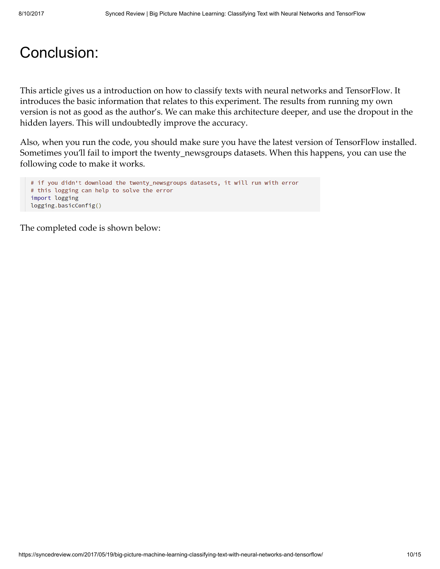### Conclusion:

This article gives us a introduction on how to classify texts with neural networks and TensorFlow. It introduces the basic information that relates to this experiment. The results from running my own version is not as good as the author's. We can make this architecture deeper, and use the dropout in the hidden layers. This will undoubtedly improve the accuracy.

Also, when you run the code, you should make sure you have the latest version of TensorFlow installed. Sometimes you'll fail to import the twenty\_newsgroups datasets. When this happens, you can use the following code to make it works.

```
# if you didn't download the twenty_newsgroups datasets, it will run with error
# this logging can help to solve the error
import logging
logging.basicConfig()
```
The completed code is shown below: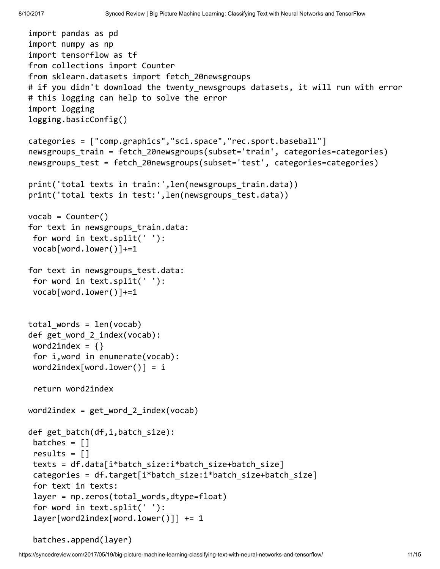```
import pandas as pd
import numpy as np
import tensorflow as tf
from collections import Counter
from sklearn.datasets import fetch_20newsgroups
# if you didn't download the twenty newsgroups datasets, it will run with error
# this logging can help to solve the error
import logging
logging.basicConfig()
categories = ["comp.graphics","sci.space","rec.sport.baseball"]
newsgroups train = fetch 20newsgroups(subset='train', categories=categories)
newsgroups test = fetch 20newsgroups(subset='test', categories=categories)
print('total texts in train:', len(newsgroups train.data))
print('total texts in test:', len(newsgroups test.data))
vocab = Counter()for text in newsgroups train.data:
for word in text.split(' '):
vocab[word.lower()]+=1
for text in newsgroups test.data:
for word in text.split(' '):
vocab[word.lower()]+=1
total words = len(vocab)def get word 2 index(vocab):
word2index = \{\}for i,word in enumerate(vocab):
word2index[word.lower()] = ireturn word2index
word2index = get word 2 index(vocab)
def get_batch(df,i,batch_size):
batches = []results = []
texts = df.data[i*batch_size:i*batch_size+batch_size]
categories = df.target[i*batch_size:i*batch_size+batch_size]
for text in texts:
layer = np.zeros(total_words,dtype=float)
for word in text.split(' '):
layer[word2index[word.lower()]] += 1
```

```
batches.append(layer)
```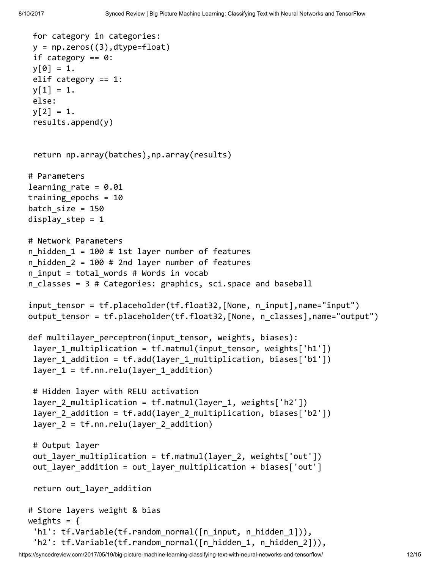```
for category in categories:
y = np{\cdot}zeros((3), dtype={float})if category == 0:
y[0] = 1.elif category == 1:
y[1] = 1.else:
y[2] = 1.results.append(y)
return np.array(batches),np.array(results)
# Parameters
learning rate = 0.01training epochs = 10batch size = 150display step = 1# Network Parameters
n hidden 1 = 100 # 1st layer number of features
n hidden 2 = 100 # 2nd layer number of features
n input = total words # Words in vocab
n classes = 3 # Categories: graphics, sci.space and baseball
input tensor = tf.placeholder(tf.float32,[None, n_input],name="input")
output tensor = tf.placeholder(tf.float32, [None, n classes],name="output")
def multilayer perceptron(input tensor, weights, biases):
layer 1 multiplication = tf.matmul(input tensor, weights['h1'])
layer 1 addition = tf.add(layer 1 multiplication, biases['b1'])
layer 1 = tf.nn.relu(layer 1 addition)# Hidden layer with RELU activation
layer_2_multiplication = tf.matmul(layer_1, weights['h2'])
layer 2 addition = tf.add(layer 2 multiplication, biases['b2'])
layer 2 = tf.nn.relu(layer 2 addition)# Output layer
out_layer_multiplication = tf.matmul(layer_2, weights['out'])
out_layer_addition = out_layer_multiplication + biases['out']
return out layer addition
# Store layers weight & bias
weights = \{'h1': tf.Variable(tf.random normal([n_input, n_hidden_1])),
 'h2': tf.Variable(tf.random normal([n hidden 1, n hidden 2])),
```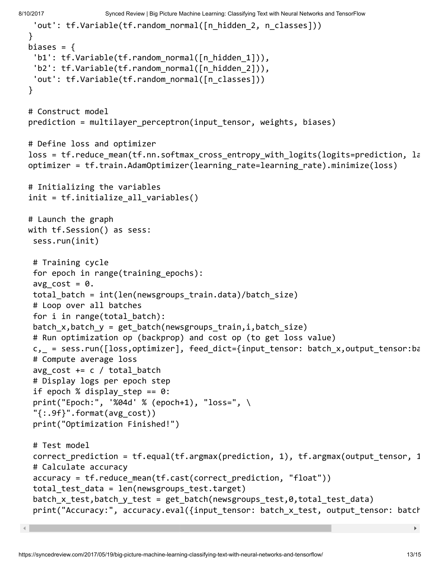8/10/2017 Synced Review | Big Picture Machine Learning: Classifying Text with Neural Networks and TensorFlow

```
'out': tf.Variable(tf.random_normal([n_hidden_2, n_classes]))
}
biases = {
 'b1': tf.Variable(tf.random_normal([n_hidden_1])),
 'b2': tf.Variable(tf.random_normal([n_hidden_2])),
 'out': tf.Variable(tf.random normal([n classes]))
}
# Construct model
prediction = multilayer perceptron(input tensor, weights, biases)
# Define loss and optimizer
loss = tf.reduce mean(tf.nn.softmax cross entropy with logits(logits=prediction, la
optimizer = tf.train.AdamOptimizer(learning_rate=learning_rate).minimize(loss)
# Initializing the variables
init = tf.initialize all variables()
# Launch the graph
with tf.Session() as sess:
sess.run(init)
# Training cycle
for epoch in range(training epochs):
avg cost = 0.
total batch = int(len(newsgroups train.data)/batch size)
# Loop over all batches
for i in range(total batch):
batch x,batch y = get batch(newsgroups train,i,batch size)
# Run optimization op (backprop) and cost op (to get loss value)
c, = sess.run([loss,optimizer], feed_dict={input_tensor: batch_x,output_tensor:ba
# Compute average loss
avg cost += c / total batch# Display logs per epoch step
if epoch % display step == 0:
print("Epoch:", '%04d' % (epoch+1), "loss=", \
"{:.9f}".format(avg_cost))
print("Optimization Finished!")
# Test model
correct_prediction = tf.equal(tf.argmax(prediction, 1), tf.argmax(output_tensor, 1))
# Calculate accuracy
accuracy = tf.reduce mean(tf.cast(correct prediction, "float"))
total test data = len(newsgroups test.target)
batch x test,batch y test = get batch(newsgroups test,0,total test data)
print("Accuracy:", accuracy.eval({input tensor: batch x test, output tensor: batch
```
 $\blacktriangleright$  .